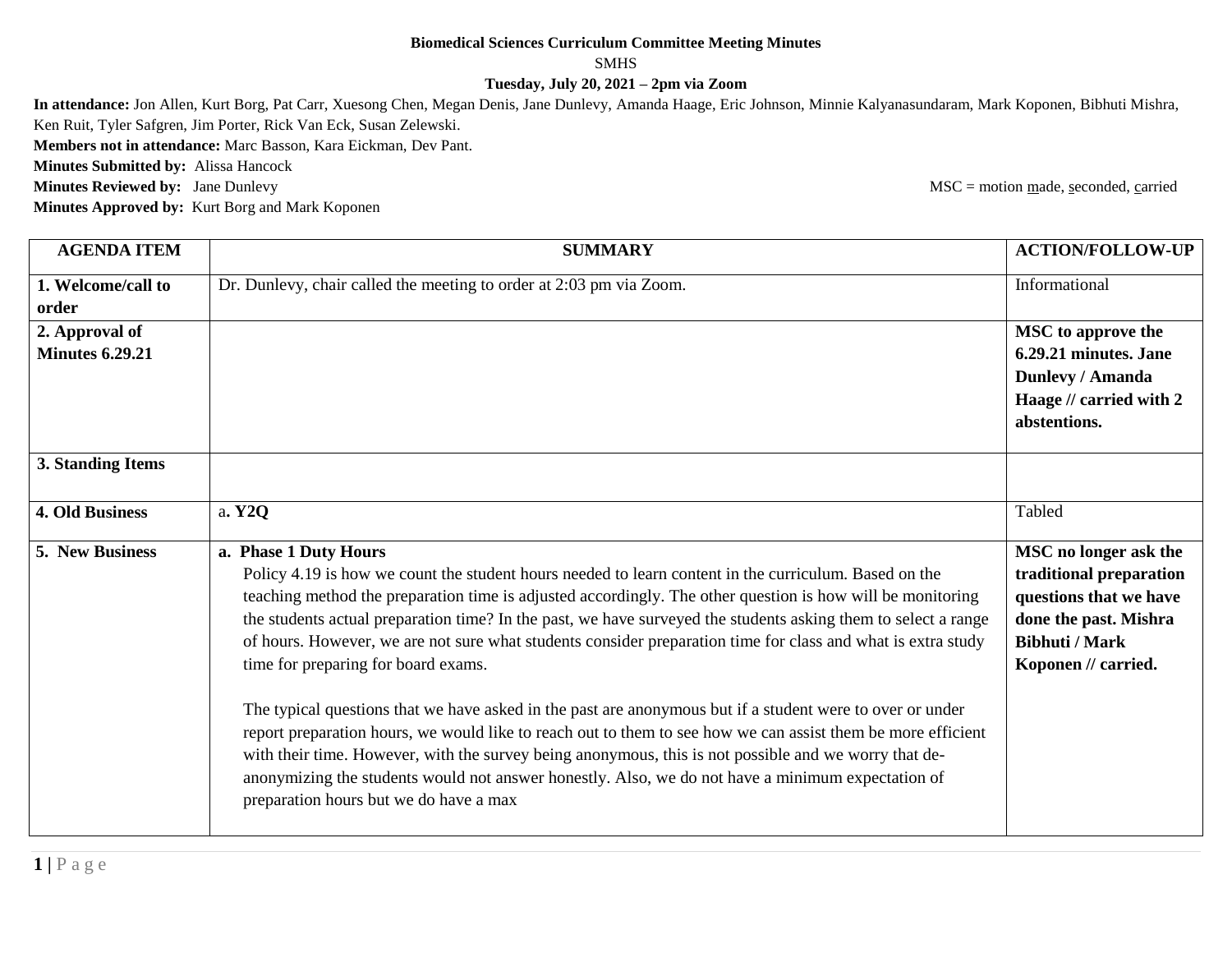## **Biomedical Sciences Curriculum Committee Meeting Minutes**

## SMHS

**Tuesday, July 20, 2021 – 2pm via Zoom**

**In attendance:** Jon Allen, Kurt Borg, Pat Carr, Xuesong Chen, Megan Denis, Jane Dunlevy, Amanda Haage, Eric Johnson, Minnie Kalyanasundaram, Mark Koponen, Bibhuti Mishra, Ken Ruit, Tyler Safgren, Jim Porter, Rick Van Eck, Susan Zelewski.

**Members not in attendance:** Marc Basson, Kara Eickman, Dev Pant.

**Minutes Submitted by:** Alissa Hancock

**Minutes Approved by:** Kurt Borg and Mark Koponen

**Minutes Reviewed by:** Jane Dunlevy MSC = motion made, seconded, carried

| <b>AGENDA ITEM</b>     | <b>SUMMARY</b>                                                                                                 | <b>ACTION/FOLLOW-UP</b>   |
|------------------------|----------------------------------------------------------------------------------------------------------------|---------------------------|
| 1. Welcome/call to     | Dr. Dunlevy, chair called the meeting to order at 2:03 pm via Zoom.                                            | Informational             |
| order                  |                                                                                                                |                           |
| 2. Approval of         |                                                                                                                | <b>MSC</b> to approve the |
| <b>Minutes 6.29.21</b> |                                                                                                                | 6.29.21 minutes. Jane     |
|                        |                                                                                                                | <b>Dunlevy / Amanda</b>   |
|                        |                                                                                                                | Haage // carried with 2   |
|                        |                                                                                                                | abstentions.              |
| 3. Standing Items      |                                                                                                                |                           |
|                        |                                                                                                                |                           |
| <b>4. Old Business</b> | a. Y2Q                                                                                                         | Tabled                    |
| 5. New Business        | a. Phase 1 Duty Hours                                                                                          | MSC no longer ask the     |
|                        | Policy 4.19 is how we count the student hours needed to learn content in the curriculum. Based on the          | traditional preparation   |
|                        | teaching method the preparation time is adjusted accordingly. The other question is how will be monitoring     | questions that we have    |
|                        | the students actual preparation time? In the past, we have surveyed the students asking them to select a range | done the past. Mishra     |
|                        | of hours. However, we are not sure what students consider preparation time for class and what is extra study   | <b>Bibhuti / Mark</b>     |
|                        | time for preparing for board exams.                                                                            | Koponen // carried.       |
|                        | The typical questions that we have asked in the past are anonymous but if a student were to over or under      |                           |
|                        | report preparation hours, we would like to reach out to them to see how we can assist them be more efficient   |                           |
|                        | with their time. However, with the survey being anonymous, this is not possible and we worry that de-          |                           |
|                        | anonymizing the students would not answer honestly. Also, we do not have a minimum expectation of              |                           |
|                        | preparation hours but we do have a max                                                                         |                           |
|                        |                                                                                                                |                           |